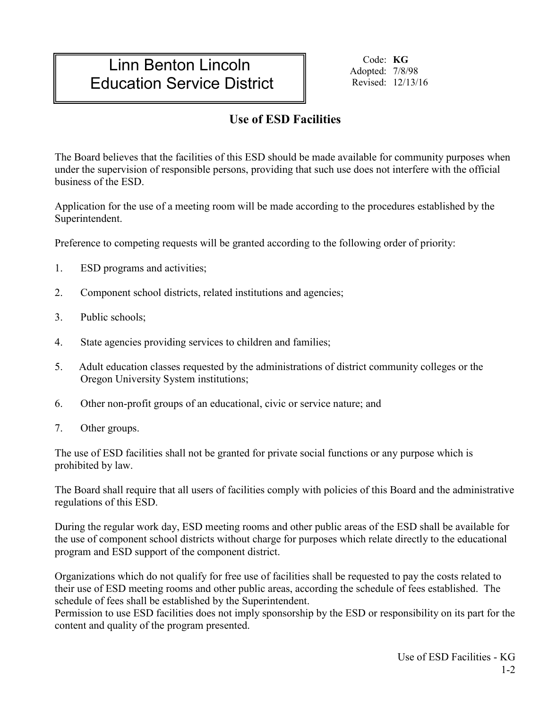# Linn Benton Lincoln Education Service District

Code: **KG** Adopted: 7/8/98 Revised: 12/13/16

# **Use of ESD Facilities**

The Board believes that the facilities of this ESD should be made available for community purposes when under the supervision of responsible persons, providing that such use does not interfere with the official business of the ESD.

Application for the use of a meeting room will be made according to the procedures established by the Superintendent.

Preference to competing requests will be granted according to the following order of priority:

- 1. ESD programs and activities;
- 2. Component school districts, related institutions and agencies;
- 3. Public schools;
- 4. State agencies providing services to children and families;
- 5. Adult education classes requested by the administrations of district community colleges or the Oregon University System institutions;
- 6. Other non-profit groups of an educational, civic or service nature; and
- 7. Other groups.

The use of ESD facilities shall not be granted for private social functions or any purpose which is prohibited by law.

The Board shall require that all users of facilities comply with policies of this Board and the administrative regulations of this ESD.

During the regular work day, ESD meeting rooms and other public areas of the ESD shall be available for the use of component school districts without charge for purposes which relate directly to the educational program and ESD support of the component district.

Organizations which do not qualify for free use of facilities shall be requested to pay the costs related to their use of ESD meeting rooms and other public areas, according the schedule of fees established. The schedule of fees shall be established by the Superintendent.

Permission to use ESD facilities does not imply sponsorship by the ESD or responsibility on its part for the content and quality of the program presented.